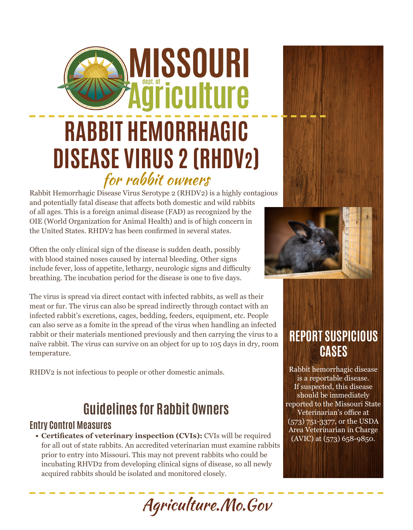# **AISSOURI** äriculture **RABBIT HEMORRHAGIC DISEASE VIRUS 2 (RHDV2)** for rabbit owners

Rabbit Hemorrhagic Disease Virus Serotype 2 (RHDV2) is a highly contagious and potentially fatal disease that affects both domestic and wild rabbits of all ages. This is a foreign animal disease (FAD) as recognized by the OIE (World Organization for Animal Health) and is of high concern in the United States. RHDV2 has been confirmed in several states.

Often the only clinical sign of the disease is sudden death, possibly with blood stained noses caused by internal bleeding. Other signs include fever, loss of appetite, lethargy, neurologic signs and difficulty breathing. The incubation period for the disease is one to five days.

The virus is spread via direct contact with infected rabbits, as well as their meat or fur. The virus can also be spread indirectly through contact with an infected rabbit's excretions, cages, bedding, feeders, equipment, etc. People can also serve as a fomite in the spread of the virus when handling an infected rabbit or their materials mentioned previously and then carrying the virus to a naïve rabbit. The virus can survive on an object for up to 105 days in dry, room temperature.

RHDV2 is not infectious to people or other domestic animals.

## **Guidelines for Rabbit Owners**

#### **Entry Control Measures**

**• Certificates of veterinary inspection (CVIs):** CVIs will be required for all out of state rabbits. An accredited veterinarian must examine rabbits prior to entry into Missouri. This may not prevent rabbits who could be incubating RHVD2 from developing clinical signs of disease, so all newly acquired rabbits should be isolated and monitored closely.

Agriculture.Mo.Gov





### **REPORT SUSPICIOUS CASES**

Rabbit hemorrhagic disease is a reportable disease. If suspected, this disease should be immediately reported to the Missouri State Veterinarian's office at (573) 751-3377, or the USDA Area Veterinarian in Charge (AVIC) at (573) 658-9850.